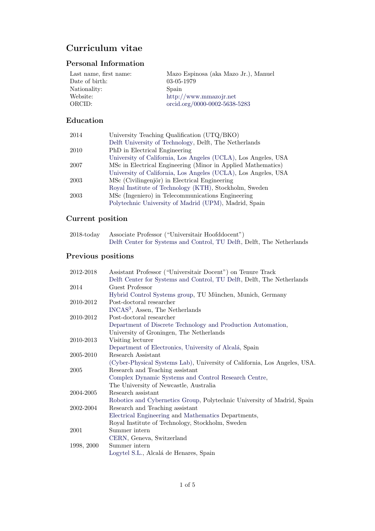# Curriculum vitae

## Personal Information

| Last name, first name: | Mazo Espinosa (aka Mazo Jr.), Manuel |
|------------------------|--------------------------------------|
| Date of birth:         | $03-05-1979$                         |
| Nationality:           | Spain                                |
| Website:               | $\frac{http://www.mmazojr.net}{}$    |
| ORCID:                 | orcid.org/0000-0002-5638-5283        |

# Education

| 2014 | University Teaching Qualification (UTQ/BKO)                    |
|------|----------------------------------------------------------------|
|      | Delft University of Technology, Delft, The Netherlands         |
| 2010 | PhD in Electrical Engineering                                  |
|      | University of California, Los Angeles (UCLA), Los Angeles, USA |
| 2007 | MSc in Electrical Engineering (Minor in Applied Mathematics)   |
|      | University of California, Los Angeles (UCLA), Los Angeles, USA |
| 2003 | MSc (Civilingenjör) in Electrical Engineering                  |
|      | Royal Institute of Technology (KTH), Stockholm, Sweden         |
| 2003 | MSc (Ingeniero) in Telecommunications Engineering              |
|      | Polytechnic University of Madrid (UPM), Madrid, Spain          |

## Current position

| 2018-today Associate Professor ("Universitair Hoofddocent")            |
|------------------------------------------------------------------------|
| Delft Center for Systems and Control, TU Delft, Delft, The Netherlands |

# Previous positions

| 2012-2018  | Assistant Professor ("Universitair Docent") on Tenure Track               |
|------------|---------------------------------------------------------------------------|
|            | Delft Center for Systems and Control, TU Delft, Delft, The Netherlands    |
| 2014       | Guest Professor                                                           |
|            | Hybrid Control Systems group, TU München, Munich, Germany                 |
| 2010-2012  | Post-doctoral researcher                                                  |
|            | INCAS <sup>3</sup> , Assen, The Netherlands                               |
| 2010-2012  | Post-doctoral researcher                                                  |
|            | Department of Discrete Technology and Production Automation,              |
|            | University of Groningen, The Netherlands                                  |
| 2010-2013  | Visiting lecturer                                                         |
|            | Department of Electronics, University of Alcalá, Spain                    |
| 2005-2010  | Research Assistant                                                        |
|            | (Cyber-Physical Systems Lab), University of California, Los Angeles, USA. |
| 2005       | Research and Teaching assistant                                           |
|            | Complex Dynamic Systems and Control Research Centre,                      |
|            | The University of Newcastle, Australia                                    |
| 2004-2005  | Research assistant                                                        |
|            | Robotics and Cybernetics Group, Polytechnic University of Madrid, Spain   |
| 2002-2004  | Research and Teaching assistant                                           |
|            | Electrical Engineering and Mathematics Departments,                       |
|            | Royal Institute of Technology, Stockholm, Sweden                          |
| 2001       | Summer intern                                                             |
|            | CERN, Geneva, Switzerland                                                 |
| 1998, 2000 | Summer intern                                                             |
|            | Logytel S.L., Alcalá de Henares, Spain                                    |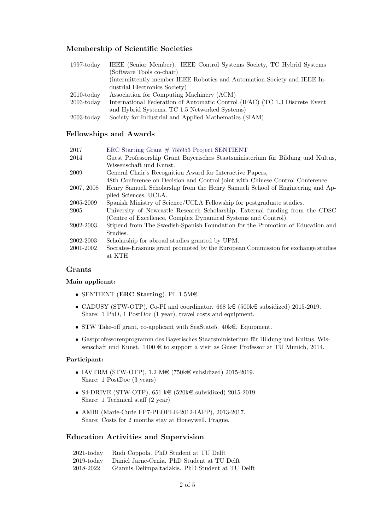### Membership of Scientific Societies

| $1997$ -today | IEEE (Senior Member). IEEE Control Systems Society, TC Hybrid Systems       |
|---------------|-----------------------------------------------------------------------------|
|               | (Software Tools co-chair)                                                   |
|               | (intermittently member IEEE Robotics and Automation Society and IEEE In-    |
|               | dustrial Electronics Society)                                               |
| $2010$ -today | Association for Computing Machinery (ACM)                                   |
| $2003$ -today | International Federation of Automatic Control (IFAC) (TC 1.3 Discrete Event |
|               | and Hybrid Systems, TC 1.5 Networked Systems)                               |
| $2003$ -today | Society for Industrial and Applied Mathematics (SIAM)                       |

#### Fellowships and Awards

| 2017       | ERC Starting Grant $# 755953$ Project SENTIENT                                  |
|------------|---------------------------------------------------------------------------------|
| 2014       | Guest Professorship Grant Bayerisches Staatsministerium für Bildung und Kultus, |
|            | Wissenschaft und Kunst.                                                         |
| 2009       | General Chair's Recognition Award for Interactive Papers,                       |
|            | 48th Conference on Decision and Control joint with Chinese Control Conference   |
| 2007, 2008 | Henry Samueli Scholarship from the Henry Samueli School of Engineering and Ap-  |
|            | plied Sciences, UCLA.                                                           |
| 2005-2009  | Spanish Ministry of Science/UCLA Fellowship for postgraduate studies.           |
| 2005       | University of Newcastle Research Scholarship, External funding from the CDSC    |
|            | (Centre of Excellence, Complex Dynamical Systems and Control).                  |
| 2002-2003  | Stipend from The Swedish-Spanish Foundation for the Promotion of Education and  |
|            | Studies.                                                                        |
| 2002-2003  | Scholarship for abroad studies granted by UPM.                                  |
| 2001-2002  | Socrates-Erasmus grant promoted by the European Commission for exchange studies |
|            | at KTH.                                                                         |
|            |                                                                                 |

#### Grants

#### Main applicant:

- SENTIENT (ERC Starting), PI.  $1.5M\epsilon$ .
- CADUSY (STW-OTP), Co-PI and coordinator. 668 k $\in$  (500k $\in$  subsidized) 2015-2019. Share: 1 PhD, 1 PostDoc (1 year), travel costs and equipment.
- STW Take-off grant, co-applicant with SeaState5.  $40k \in$ . Equipment.
- Gastprofessorenprogramm des Bayerisches Staatsministerium für Bildung und Kultus, Wissenschaft und Kunst.  $1400 \in$  to support a visit as Guest Professor at TU Munich, 2014.

#### Participant:

- IAVTRM (STW-OTP), 1.2 M $\in$  (750k $\in$  subsidized) 2015-2019. Share: 1 PostDoc (3 years)
- S4-DRIVE (STW-OTP), 651 k $\in$  (520k $\in$  subsidized) 2015-2019. Share: 1 Technical staff (2 year)
- AMBI (Marie-Curie FP7-PEOPLE-2012-IAPP), 2013-2017. Share: Costs for 2 months stay at Honeywell, Prague.

#### Education Activities and Supervision

| $2021$ -today | Rudi Coppola. PhD Student at TU Delft                  |
|---------------|--------------------------------------------------------|
|               | 2019-today Daniel Jarne-Ornia. PhD Student at TU Delft |
| 2018-2022     | Giannis Delimpaltadakis. PhD Student at TU Delft       |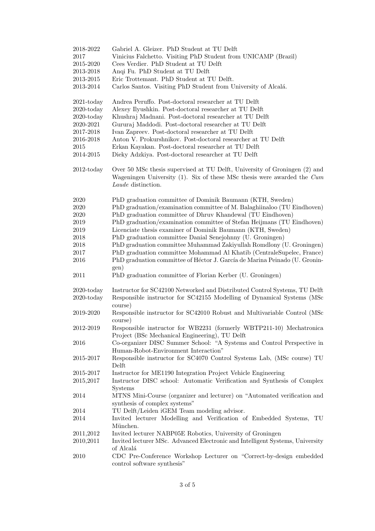| 2018-2022<br>2017 | Gabriel A. Gleizer. PhD Student at TU Delft<br>Vinicius Falchetto. Visiting PhD Student from UNICAMP (Brazil)                                                                  |
|-------------------|--------------------------------------------------------------------------------------------------------------------------------------------------------------------------------|
| 2015-2020         | Cees Verdier. PhD Student at TU Delft                                                                                                                                          |
| 2013-2018         | Anqi Fu. PhD Student at TU Delft                                                                                                                                               |
| 2013-2015         | Eric Trottemant. PhD Student at TU Delft.                                                                                                                                      |
| 2013-2014         | Carlos Santos. Visiting PhD Student from University of Alcalá.                                                                                                                 |
| $2021$ -today     | Andrea Peruffo. Post-doctoral researcher at TU Delft                                                                                                                           |
| $2020$ -today     | Alexey Ilyushkin. Post-doctoral researcher at TU Delft                                                                                                                         |
| $2020$ -today     | Khushraj Madnani. Post-doctoral researcher at TU Delft                                                                                                                         |
| 2020-2021         | Gururaj Maddodi. Post-doctoral researcher at TU Delft                                                                                                                          |
| 2017-2018         | Ivan Zapreev. Post-doctoral researcher at TU Delft                                                                                                                             |
| 2016-2018         | Anton V. Prokurshnikov. Post-doctoral researcher at TU Delft                                                                                                                   |
| 2015              | Erkan Kayakan. Post-doctoral researcher at TU Delft                                                                                                                            |
| 2014-2015         | Dieky Adzkiya. Post-doctoral researcher at TU Delft                                                                                                                            |
| $2012$ -today     | Over 50 MSc thesis supervised at TU Delft, University of Groningen (2) and<br>Wageningen University $(1)$ . Six of these MSc thesis were awarded the Cum<br>Laude distinction. |
| 2020              | PhD graduation committee of Dominik Baumann (KTH, Sweden)                                                                                                                      |
| 2020              | PhD graduation/examination committee of M. Balaghiinaloo (TU Eindhoven)                                                                                                        |
| 2020              | PhD graduation committee of Dhruv Khandewal (TU Eindhoven)                                                                                                                     |
| 2019              | PhD graduation/examination committee of Stefan Heijmans (TU Eindhoven)                                                                                                         |
| 2019              | Licenciate thesis examiner of Dominik Baumann (KTH, Sweden)                                                                                                                    |
| 2018              | PhD graduation committee Danial Senejohnny (U. Groningen)                                                                                                                      |
| 2018              | PhD graduation committee Muhammad Zakiyullah Romdlony (U. Groningen)                                                                                                           |
| 2017              | PhD graduation committee Mohammad Al Khatib (CentraleSupelec, France)                                                                                                          |
| 2016              | PhD graduation committee of Héctor J. García de Marina Peinado (U. Gronin-<br>gen)                                                                                             |
| 2011              | PhD graduation committee of Florian Kerber (U. Groningen)                                                                                                                      |
| $2020$ -today     | Instructor for SC42100 Networked and Distributed Control Systems, TU Delft                                                                                                     |
| $2020$ -today     | Responsible instructor for SC42155 Modelling of Dynamical Systems (MSc)<br>course)                                                                                             |
| 2019-2020         | Responsible instructor for SC42010 Robust and Multivariable Control (MSc<br>course)                                                                                            |
| 2012-2019         | Responsible instructor for WB2231 (formerly WBTP211-10) Mechatronica<br>Project (BSc Mechanical Engineering), TU Delft                                                         |
| 2016              | Co-organizer DISC Summer School: "A Systems and Control Perspective in<br>Human-Robot-Environment Interaction"                                                                 |
| 2015-2017         | Responsible instructor for SC4070 Control Systems Lab, (MSc course) TU                                                                                                         |
|                   | Delft                                                                                                                                                                          |
| 2015-2017         | Instructor for ME1190 Integration Project Vehicle Engineering                                                                                                                  |
| 2015,2017         | Instructor DISC school: Automatic Verification and Synthesis of Complex<br>Systems                                                                                             |
| 2014              | MTNS Mini-Course (organizer and lecturer) on "Automated verification and                                                                                                       |
| 2014              | synthesis of complex systems"<br>TU Delft/Leiden iGEM Team modeling advisor.                                                                                                   |
| 2014              | Invited lecturer Modelling and Verification of Embedded Systems, TU                                                                                                            |
|                   | München.                                                                                                                                                                       |
| 2011,2012         | Invited lecturer NABP05E Robotics, University of Groningen                                                                                                                     |
| 2010,2011         | Invited lecturer MSc. Advanced Electronic and Intelligent Systems, University<br>of Alcalá                                                                                     |
| 2010              | CDC Pre-Conference Workshop Lecturer on "Correct-by-design embedded<br>control software synthesis"                                                                             |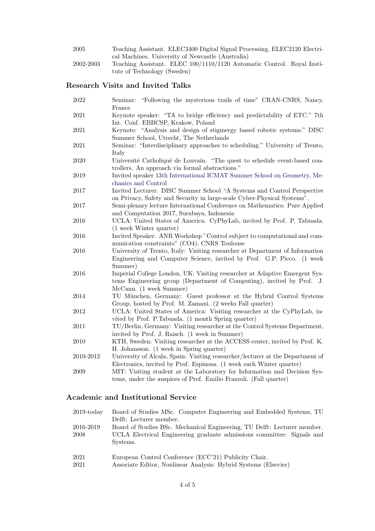| 2005      | Teaching Assistant. ELEC3400 Digital Signal Processing, ELEC2120 Electri- |
|-----------|---------------------------------------------------------------------------|
|           | cal Machines. University of Newcastle (Australia)                         |
| 2002-2003 | Teaching Assistant. ELEC 100/1110/1120 Automatic Control. Royal Insti-    |
|           | tute of Technology (Sweden)                                               |

### Research Visits and Invited Talks

| 2022       | Seminar: "Following the mysterious trails of time" CRAN-CNRS, Nancy,<br>France                                                                                                 |
|------------|--------------------------------------------------------------------------------------------------------------------------------------------------------------------------------|
| 2021       | Keynote speaker: "TA to bridge efficiency and predictability of ETC." 7th<br>Int. Conf. EBBCSP, Krakow, Poland                                                                 |
| 2021       | Keynote: "Analysis and design of stigmergy based robotic systems." DISC<br>Summer School, Utrecht, The Netherlands                                                             |
| 2021       | Seminar: "Interdisciplinary approaches to scheduling." University of Trento,<br>Italy                                                                                          |
| 2020       | Université Catholiqué de Louvain. "The quest to schedule event-based con-<br>trollers. An approach via formal abstractions."                                                   |
| 2019       | Invited speaker 13th International ICMAT Summer School on Geometry, Me-<br>chanics and Control                                                                                 |
| $2017\,$   | Invited Lecturer. DISC Summer School "A Systems and Control Perspective<br>on Privacy, Safety and Security in large-scale Cyber-Physical Systems".                             |
| $2017\,$   | Semi-plenary lecture International Conference on Mathematics: Pure Applied<br>and Computation 2017, Surabaya, Indonesia                                                        |
| 2016       | UCLA: United States of America. CyPhyLab, invited by Prof. P. Tabuada.<br>(1 week Winter quarter)                                                                              |
| 2016       | Invited Speaker. ANR Workshop "Control subject to computational and com-<br>munication constraints" (CO4), CNRS Toulouse                                                       |
| 2016       | University of Trento, Italy: Visiting researcher at Department of Information<br>Engineering and Computer Science, invited by Prof. G.P. Picco. (1 week<br>Summer)             |
| 2016       | Imperial College London, UK: Visiting researcher at Adaptive Emergent Sys-<br>tems Engineering group (Department of Computing), invited by Prof. J.<br>McCann. (1 week Summer) |
| 2014       | TU München, Germany: Guest professor at the Hybrid Control Systems<br>Group, hosted by Prof. M. Zamani. (2 weeks Fall quarter)                                                 |
| 2012       | UCLA: United States of America: Visiting researcher at the CyPhyLab, in-<br>vited by Prof. P.Tabuada. (1 month Spring quarter)                                                 |
| 2011       | TU/Berlin, Germany: Visiting researcher at the Control Systems Department,<br>invited by Prof. J. Raisch. (1 week in Summer)                                                   |
| 2010       | KTH, Sweden: Visiting researcher at the ACCESS center, invited by Prof. K.<br>H. Johansson. (1 week in Spring quarter)                                                         |
| 2010-2012  | University of Alcala, Spain: Visiting researcher/lecturer at the Department of<br>Electronics, invited by Prof. Espinosa. (1 week each Winter quarter)                         |
| $\,2009\,$ | MIT: Visiting student at the Laboratory for Information and Decision Sys-<br>tems, under the auspices of Prof. Emilio Frazzoli. (Fall quarter)                                 |

## Academic and Institutional Service

| $2019$ -today     | Board of Studies MSc. Computer Engineering and Embedded Systems, TU<br>Delft: Lecturer member.                                                                 |
|-------------------|----------------------------------------------------------------------------------------------------------------------------------------------------------------|
| 2016-2019<br>2008 | Board of Studies BSc. Mechanical Engineering, TU Delft: Lecturer member.<br>UCLA Electrical Engineering graduate admissions committee: Signals and<br>Systems. |
| 2021<br>2021      | European Control Conference (ECC'21) Publicity Chair.<br>Associate Editor, Nonlinear Analysis: Hybrid Systems (Elsevier)                                       |